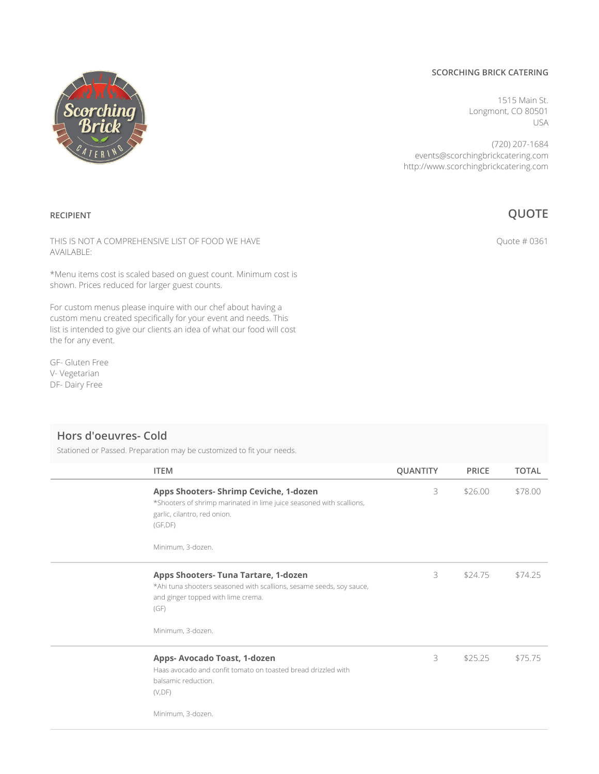#### **SCORCHING BRICK CATERING**

1515 Main St. Longmont, CO 80501 USA

(720) 207-1684 events@scorchingbrickcatering.com http://www.scorchingbrickcatering.com

## **QUOTE**

Quote # 0361

THIS IS NOT A COMPREHENSIVE LIST OF FOOD WE HAVE AVAILABLE:

\*Menu items cost is scaled based on guest count. Minimum cost is shown. Prices reduced for larger guest counts.

For custom menus please inquire with our chef about having a custom menu created specifically for your event and needs. This list is intended to give our clients an idea of what our food will cost the for any event.

GF- Gluten Free V- Vegetarian DF- Dairy Free

**RECIPIENT**

### **Hors d'oeuvres- Cold**

Stationed or Passed. Preparation may be customized to fit your needs.

| <b>ITEM</b>                                                                                                                                                                            | <b>QUANTITY</b> | <b>PRICE</b> | <b>TOTAL</b> |
|----------------------------------------------------------------------------------------------------------------------------------------------------------------------------------------|-----------------|--------------|--------------|
| Apps Shooters- Shrimp Ceviche, 1-dozen<br>*Shooters of shrimp marinated in lime juice seasoned with scallions,<br>garlic, cilantro, red onion.<br>(GF, DF)<br>Minimum, 3-dozen.        | 3               | \$26.00      | \$78.00      |
| <b>Apps Shooters- Tuna Tartare, 1-dozen</b><br>*Ahi tuna shooters seasoned with scallions, sesame seeds, soy sauce,<br>and ginger topped with lime crema.<br>(GF)<br>Minimum, 3-dozen. | 3               | \$24.75      | \$74.25      |
| Apps-Avocado Toast, 1-dozen<br>Haas avocado and confit tomato on toasted bread drizzled with<br>balsamic reduction.<br>(V, DF)<br>Minimum, 3-dozen.                                    | 3               | \$25.25      | \$75.75      |
|                                                                                                                                                                                        |                 |              |              |

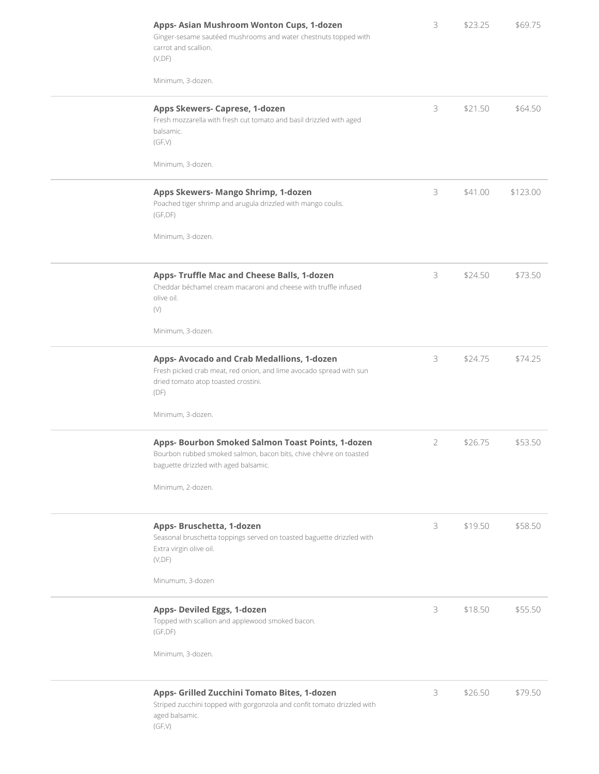| Apps- Asian Mushroom Wonton Cups, 1-dozen<br>Ginger-sesame sautéed mushrooms and water chestnuts topped with<br>carrot and scallion.                            | 3 | \$23.25 | \$69.75  |
|-----------------------------------------------------------------------------------------------------------------------------------------------------------------|---|---------|----------|
| (V, DF)<br>Minimum, 3-dozen.                                                                                                                                    |   |         |          |
| Apps Skewers- Caprese, 1-dozen<br>Fresh mozzarella with fresh cut tomato and basil drizzled with aged<br>balsamic.<br>(GF,V)                                    | 3 | \$21.50 | \$64.50  |
| Minimum, 3-dozen.                                                                                                                                               |   |         |          |
| Apps Skewers- Mango Shrimp, 1-dozen<br>Poached tiger shrimp and arugula drizzled with mango coulis.<br>(GF, DF)                                                 | 3 | \$41.00 | \$123.00 |
| Minimum, 3-dozen.                                                                                                                                               |   |         |          |
| Apps- Truffle Mac and Cheese Balls, 1-dozen<br>Cheddar béchamel cream macaroni and cheese with truffle infused<br>olive oil.<br>(V)                             | 3 | \$24.50 | \$73.50  |
| Minimum, 3-dozen.                                                                                                                                               |   |         |          |
| Apps-Avocado and Crab Medallions, 1-dozen<br>Fresh picked crab meat, red onion, and lime avocado spread with sun<br>dried tomato atop toasted crostini.<br>(DF) | 3 | \$24.75 | \$74.25  |
| Minimum, 3-dozen.                                                                                                                                               |   |         |          |
| Apps- Bourbon Smoked Salmon Toast Points, 1-dozen<br>Bourbon rubbed smoked salmon, bacon bits, chive chèvre on toasted<br>baguette drizzled with aged balsamic. | 2 | \$26.75 | \$53.50  |
| Minimum, 2-dozen.                                                                                                                                               |   |         |          |
| Apps- Bruschetta, 1-dozen<br>Seasonal bruschetta toppings served on toasted baguette drizzled with<br>Extra virgin olive oil.<br>(V, DF)                        | 3 | \$19.50 | \$58.50  |
| Minumum, 3-dozen                                                                                                                                                |   |         |          |
| Apps- Deviled Eggs, 1-dozen<br>Topped with scallion and applewood smoked bacon.<br>(GF, DF)                                                                     | 3 | \$18.50 | \$55.50  |
| Minimum, 3-dozen.                                                                                                                                               |   |         |          |
| Apps- Grilled Zucchini Tomato Bites, 1-dozen<br>Striped zucchini topped with gorgonzola and confit tomato drizzled with<br>aged balsamic.<br>(GF,V)             | 3 | \$26.50 | \$79.50  |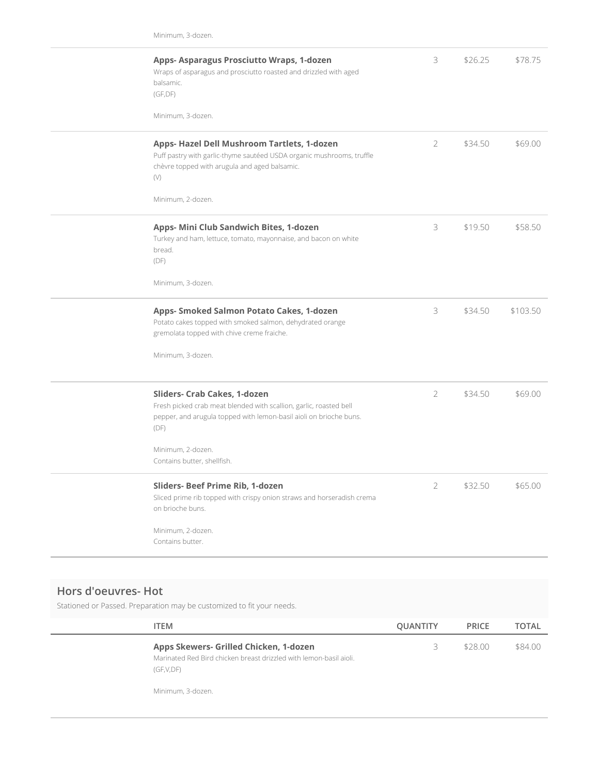| Apps- Asparagus Prosciutto Wraps, 1-dozen<br>Wraps of asparagus and prosciutto roasted and drizzled with aged<br>balsamic.<br>(GF, DF)<br>Minimum, 3-dozen.                                                                          | 3              | \$26.25 | \$78.75  |
|--------------------------------------------------------------------------------------------------------------------------------------------------------------------------------------------------------------------------------------|----------------|---------|----------|
| Apps- Hazel Dell Mushroom Tartlets, 1-dozen<br>Puff pastry with garlic-thyme sautéed USDA organic mushrooms, truffle<br>chèvre topped with arugula and aged balsamic.<br>(V)<br>Minimum, 2-dozen.                                    | $\overline{2}$ | \$34.50 | \$69.00  |
| Apps- Mini Club Sandwich Bites, 1-dozen<br>Turkey and ham, lettuce, tomato, mayonnaise, and bacon on white<br>bread.<br>(DF)<br>Minimum, 3-dozen.                                                                                    | 3              | \$19.50 | \$58.50  |
| Apps- Smoked Salmon Potato Cakes, 1-dozen<br>Potato cakes topped with smoked salmon, dehydrated orange<br>gremolata topped with chive creme fraiche.<br>Minimum, 3-dozen.                                                            | 3              | \$34.50 | \$103.50 |
| Sliders- Crab Cakes, 1-dozen<br>Fresh picked crab meat blended with scallion, garlic, roasted bell<br>pepper, and arugula topped with lemon-basil aioli on brioche buns.<br>(DF)<br>Minimum, 2-dozen.<br>Contains butter, shellfish. | $\overline{2}$ | \$34.50 | \$69.00  |
| Sliders- Beef Prime Rib, 1-dozen<br>Sliced prime rib topped with crispy onion straws and horseradish crema<br>on brioche buns.<br>Minimum, 2-dozen.<br>Contains butter.                                                              | $\overline{2}$ | \$32.50 | \$65.00  |

### **Hors d'oeuvres- Hot**

Stationed or Passed. Preparation may be customized to fit your needs.

| <b>ITEM</b>                                                                                                                                    | <b>QUANTITY</b> | <b>PRICE</b> | <b>TOTAL</b> |
|------------------------------------------------------------------------------------------------------------------------------------------------|-----------------|--------------|--------------|
| Apps Skewers- Grilled Chicken, 1-dozen<br>Marinated Red Bird chicken breast drizzled with lemon-basil aioli.<br>(GF,V,DF)<br>Minimum, 3-dozen. | 3               | \$28.00      | \$84.00      |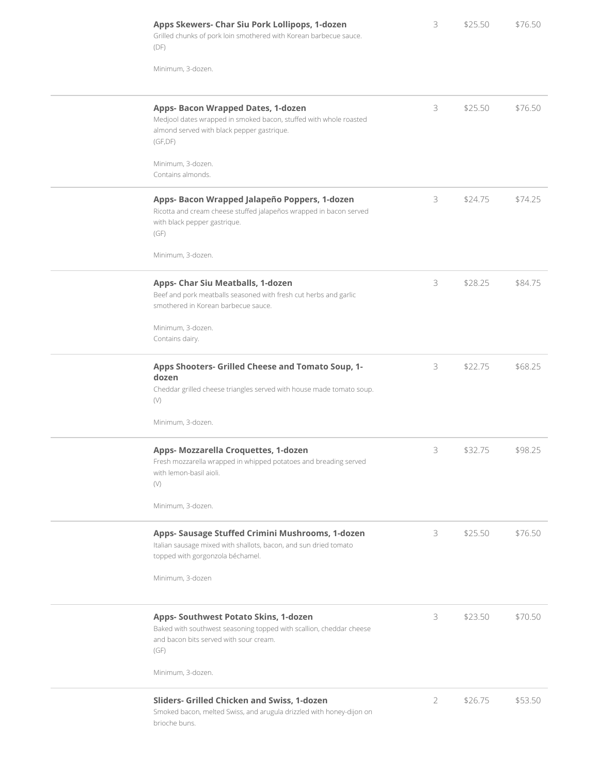| Apps Skewers- Char Siu Pork Lollipops, 1-dozen<br>Grilled chunks of pork loin smothered with Korean barbecue sauce.<br>(DF)                                       | 3              | \$25.50 | \$76.50 |
|-------------------------------------------------------------------------------------------------------------------------------------------------------------------|----------------|---------|---------|
| Minimum, 3-dozen.                                                                                                                                                 |                |         |         |
| Apps- Bacon Wrapped Dates, 1-dozen<br>Medjool dates wrapped in smoked bacon, stuffed with whole roasted<br>almond served with black pepper gastrique.<br>(GF, DF) | 3              | \$25.50 | \$76.50 |
| Minimum, 3-dozen.<br>Contains almonds.                                                                                                                            |                |         |         |
| Apps- Bacon Wrapped Jalapeño Poppers, 1-dozen<br>Ricotta and cream cheese stuffed jalapeños wrapped in bacon served<br>with black pepper gastrique.<br>(GF)       | 3              | \$24.75 | \$74.25 |
| Minimum, 3-dozen.                                                                                                                                                 |                |         |         |
| Apps- Char Siu Meatballs, 1-dozen<br>Beef and pork meatballs seasoned with fresh cut herbs and garlic<br>smothered in Korean barbecue sauce.                      | 3              | \$28.25 | \$84.75 |
| Minimum, 3-dozen.<br>Contains dairy.                                                                                                                              |                |         |         |
| Apps Shooters- Grilled Cheese and Tomato Soup, 1-<br>dozen<br>Cheddar grilled cheese triangles served with house made tomato soup.<br>(V)                         | 3              | \$22.75 | \$68.25 |
| Minimum, 3-dozen.                                                                                                                                                 |                |         |         |
| Apps- Mozzarella Croquettes, 1-dozen<br>Fresh mozzarella wrapped in whipped potatoes and breading served<br>with lemon-basil aioli.<br>$(\vee)$                   | 3              | \$32.75 | \$98.25 |
| Minimum, 3-dozen.                                                                                                                                                 |                |         |         |
| Apps- Sausage Stuffed Crimini Mushrooms, 1-dozen<br>Italian sausage mixed with shallots, bacon, and sun dried tomato<br>topped with gorgonzola béchamel.          | 3              | \$25.50 | \$76.50 |
| Minimum, 3-dozen                                                                                                                                                  |                |         |         |
| Apps- Southwest Potato Skins, 1-dozen<br>Baked with southwest seasoning topped with scallion, cheddar cheese<br>and bacon bits served with sour cream.<br>(GF)    | 3              | \$23.50 | \$70.50 |
| Minimum, 3-dozen.                                                                                                                                                 |                |         |         |
| Sliders- Grilled Chicken and Swiss, 1-dozen<br>Smoked bacon, melted Swiss, and arugula drizzled with honey-dijon on<br>brioche buns.                              | $\overline{2}$ | \$26.75 | \$53.50 |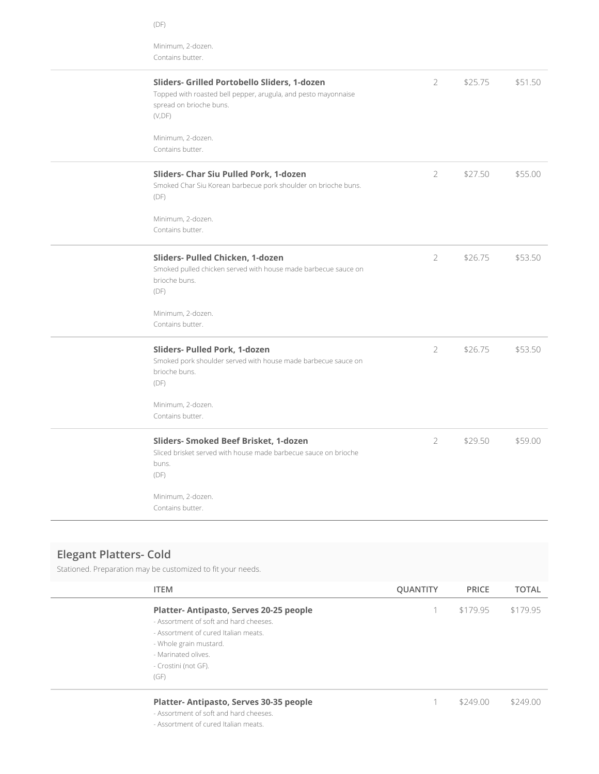| Minimum, 2-dozen.<br>Contains butter.                                                                                                                                         |                |         |         |
|-------------------------------------------------------------------------------------------------------------------------------------------------------------------------------|----------------|---------|---------|
| Sliders- Grilled Portobello Sliders, 1-dozen<br>Topped with roasted bell pepper, arugula, and pesto mayonnaise<br>spread on brioche buns.<br>(V, DF)<br>Minimum, 2-dozen.     | $\overline{2}$ | \$25.75 | \$51.50 |
| Contains butter.<br>Sliders- Char Siu Pulled Pork, 1-dozen<br>Smoked Char Siu Korean barbecue pork shoulder on brioche buns.<br>(DF)<br>Minimum, 2-dozen.<br>Contains butter. | 2              | \$27.50 | \$55.00 |
| Sliders- Pulled Chicken, 1-dozen<br>Smoked pulled chicken served with house made barbecue sauce on<br>brioche buns.<br>(DF)<br>Minimum, 2-dozen.<br>Contains butter.          | $\overline{2}$ | \$26.75 | \$53.50 |
| Sliders- Pulled Pork, 1-dozen<br>Smoked pork shoulder served with house made barbecue sauce on<br>brioche buns.<br>(DF)<br>Minimum, 2-dozen.<br>Contains butter.              | 2              | \$26.75 | \$53.50 |
| Sliders- Smoked Beef Brisket, 1-dozen<br>Sliced brisket served with house made barbecue sauce on brioche<br>buns.<br>(DF)<br>Minimum, 2-dozen.<br>Contains butter.            | $\overline{2}$ | \$29.50 | \$59.00 |

# **Elegant Platters- Cold**

Stationed. Preparation may be customized to fit your needs.

(DF)

| <b>ITEM</b>                                                                                                                                                                                               | <b>QUANTITY</b> | <b>PRICE</b> | <b>TOTAL</b> |
|-----------------------------------------------------------------------------------------------------------------------------------------------------------------------------------------------------------|-----------------|--------------|--------------|
| Platter-Antipasto, Serves 20-25 people<br>- Assortment of soft and hard cheeses.<br>- Assortment of cured Italian meats.<br>- Whole grain mustard.<br>- Marinated olives.<br>- Crostini (not GF).<br>(GF) |                 | \$179.95     | \$179.95     |
| Platter-Antipasto, Serves 30-35 people                                                                                                                                                                    |                 | \$24900      | \$249.00     |

- Assortment of soft and hard cheeses.

- Assortment of cured Italian meats.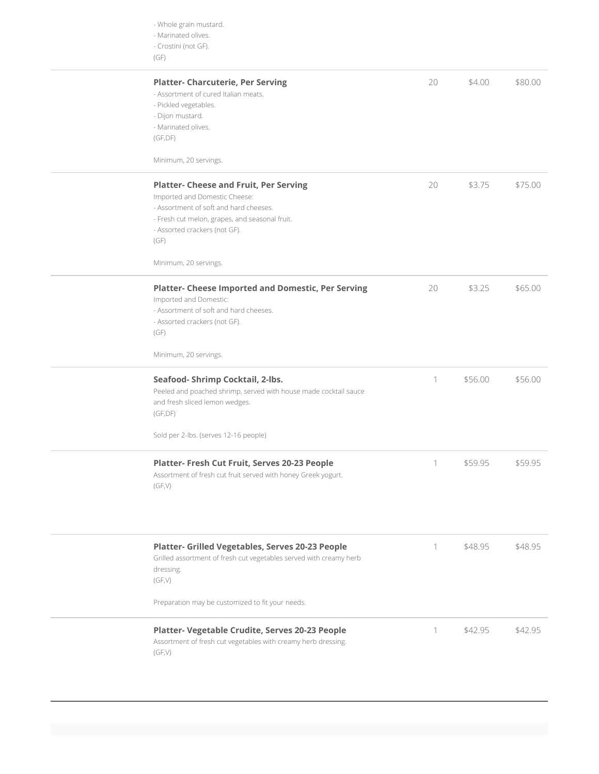| - Whole grain mustard.<br>- Marinated olives.<br>- Crostini (not GF).<br>(GF)                                                                                                                                                                |    |         |         |
|----------------------------------------------------------------------------------------------------------------------------------------------------------------------------------------------------------------------------------------------|----|---------|---------|
| <b>Platter- Charcuterie, Per Serving</b><br>- Assortment of cured Italian meats.<br>- Pickled vegetables.<br>- Dijon mustard.<br>- Marinated olives.<br>(GF, DF)<br>Minimum, 20 servings.                                                    | 20 | \$4.00  | \$80.00 |
| <b>Platter- Cheese and Fruit, Per Serving</b><br>Imported and Domestic Cheese:<br>- Assortment of soft and hard cheeses.<br>- Fresh cut melon, grapes, and seasonal fruit.<br>- Assorted crackers (not GF).<br>(GF)<br>Minimum, 20 servings. | 20 | \$3.75  | \$75.00 |
| <b>Platter- Cheese Imported and Domestic, Per Serving</b><br>Imported and Domestic:<br>- Assortment of soft and hard cheeses.<br>- Assorted crackers (not GF).<br>(GF)<br>Minimum, 20 servings.                                              | 20 | \$3.25  | \$65.00 |
| Seafood-Shrimp Cocktail, 2-lbs.<br>Peeled and poached shrimp, served with house made cocktail sauce<br>and fresh sliced lemon wedges.<br>(GF,DF)<br>Sold per 2-lbs. (serves 12-16 people)                                                    | 1  | \$56.00 | \$56.00 |
| Platter- Fresh Cut Fruit, Serves 20-23 People<br>Assortment of fresh cut fruit served with honey Greek yogurt.<br>(GF,V)                                                                                                                     | 1  | \$59.95 | \$59.95 |
| Platter- Grilled Vegetables, Serves 20-23 People<br>Grilled assortment of fresh cut vegetables served with creamy herb<br>dressing.<br>(GF,V)<br>Preparation may be customized to fit your needs.                                            | 1  | \$48.95 | \$48.95 |
| Platter- Vegetable Crudite, Serves 20-23 People<br>Assortment of fresh cut vegetables with creamy herb dressing.<br>(GF,V)                                                                                                                   | 1  | \$42.95 | \$42.95 |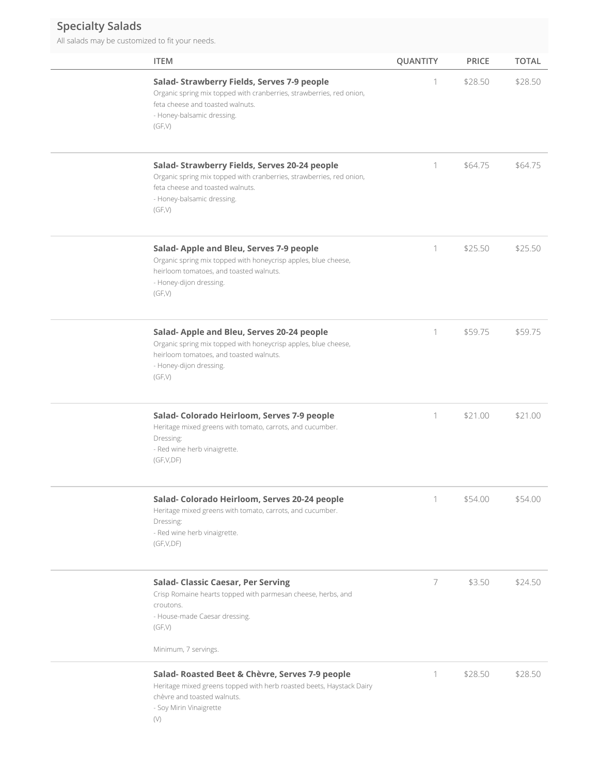## **Specialty Salads**

All salads may be customized to fit your needs.

| <b>ITEM</b>                                                                                                                                                                                       | QUANTITY | <b>PRICE</b> | <b>TOTAL</b> |
|---------------------------------------------------------------------------------------------------------------------------------------------------------------------------------------------------|----------|--------------|--------------|
| Salad- Strawberry Fields, Serves 7-9 people<br>Organic spring mix topped with cranberries, strawberries, red onion,<br>feta cheese and toasted walnuts.<br>- Honey-balsamic dressing.<br>(GF,V)   | 1        | \$28.50      | \$28.50      |
| Salad- Strawberry Fields, Serves 20-24 people<br>Organic spring mix topped with cranberries, strawberries, red onion,<br>feta cheese and toasted walnuts.<br>- Honey-balsamic dressing.<br>(GF,V) | 1        | \$64.75      | \$64.75      |
| Salad- Apple and Bleu, Serves 7-9 people<br>Organic spring mix topped with honeycrisp apples, blue cheese,<br>heirloom tomatoes, and toasted walnuts.<br>- Honey-dijon dressing.<br>(GF,V)        | 1        | \$25.50      | \$25.50      |
| Salad- Apple and Bleu, Serves 20-24 people<br>Organic spring mix topped with honeycrisp apples, blue cheese,<br>heirloom tomatoes, and toasted walnuts.<br>- Honey-dijon dressing.<br>(GF,V)      | 1        | \$59.75      | \$59.75      |
| Salad- Colorado Heirloom, Serves 7-9 people<br>Heritage mixed greens with tomato, carrots, and cucumber.<br>Dressing:<br>- Red wine herb vinaigrette.<br>(GF,V,DF)                                | 1        | \$21.00      | \$21.00      |
| Salad- Colorado Heirloom, Serves 20-24 people<br>Heritage mixed greens with tomato, carrots, and cucumber.<br>Dressing:<br>- Red wine herb vinaigrette.<br>(GF,V,DF)                              | 1        | \$54.00      | \$54.00      |
| <b>Salad- Classic Caesar, Per Serving</b><br>Crisp Romaine hearts topped with parmesan cheese, herbs, and<br>croutons.<br>- House-made Caesar dressing.<br>(GF,V)<br>Minimum, 7 servings.         | 7        | \$3.50       | \$24.50      |
| Salad- Roasted Beet & Chèvre, Serves 7-9 people<br>Heritage mixed greens topped with herb roasted beets, Haystack Dairy<br>chèvre and toasted walnuts.<br>- Soy Mirin Vinaigrette<br>$(\vee)$     | 1        | \$28.50      | \$28.50      |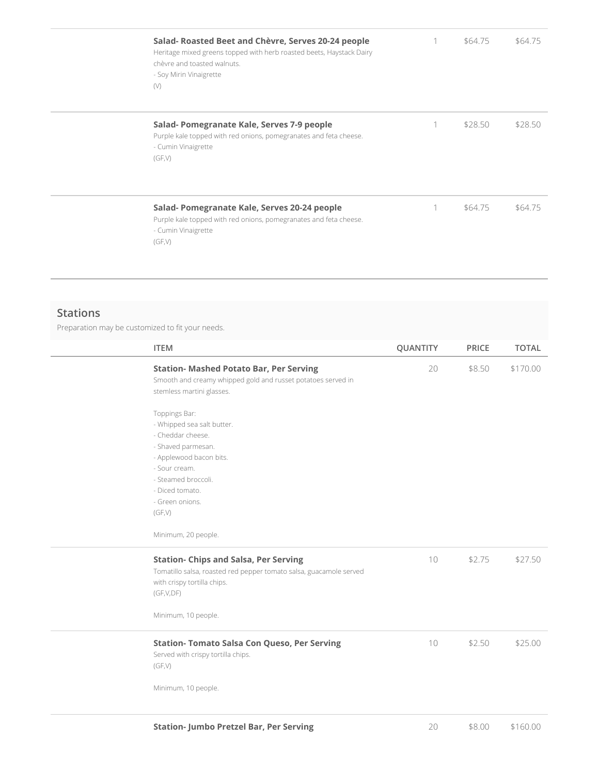| Salad- Roasted Beet and Chèvre, Serves 20-24 people<br>Heritage mixed greens topped with herb roasted beets, Haystack Dairy<br>chèvre and toasted walnuts.<br>- Soy Mirin Vinaigrette<br>(V) |   | \$64.75 | \$64.75 |
|----------------------------------------------------------------------------------------------------------------------------------------------------------------------------------------------|---|---------|---------|
| Salad- Pomegranate Kale, Serves 7-9 people<br>Purple kale topped with red onions, pomegranates and feta cheese.<br>- Cumin Vinaigrette<br>(GF,V)                                             | 1 | \$28.50 | \$28.50 |
| Salad- Pomegranate Kale, Serves 20-24 people<br>Purple kale topped with red onions, pomegranates and feta cheese.<br>- Cumin Vinaigrette<br>(GF,V)                                           |   | \$64.75 | \$64.75 |

#### **Stations**

Preparation may be customized to fit your needs.

| <b>ITEM</b>                                                                                                                                                                                               | QUANTITY | <b>PRICE</b> | <b>TOTAL</b> |
|-----------------------------------------------------------------------------------------------------------------------------------------------------------------------------------------------------------|----------|--------------|--------------|
| <b>Station- Mashed Potato Bar, Per Serving</b><br>Smooth and creamy whipped gold and russet potatoes served in<br>stemless martini glasses.                                                               | 20       | \$8.50       | \$170.00     |
| Toppings Bar:<br>- Whipped sea salt butter.<br>- Cheddar cheese.<br>- Shaved parmesan.<br>- Applewood bacon bits.<br>- Sour cream.<br>- Steamed broccoli.<br>- Diced tomato.<br>- Green onions.<br>(GF,V) |          |              |              |
| Minimum, 20 people.                                                                                                                                                                                       |          |              |              |
| <b>Station- Chips and Salsa, Per Serving</b><br>Tomatillo salsa, roasted red pepper tomato salsa, guacamole served<br>with crispy tortilla chips.<br>(GF,V,DF)                                            | 10       | \$2.75       | \$27.50      |
| Minimum, 10 people.                                                                                                                                                                                       |          |              |              |
| <b>Station- Tomato Salsa Con Queso, Per Serving</b><br>Served with crispy tortilla chips.<br>(GF,V)                                                                                                       | 10       | \$2.50       | \$25.00      |
| Minimum, 10 people.                                                                                                                                                                                       |          |              |              |
| <b>Station- Jumbo Pretzel Bar, Per Serving</b>                                                                                                                                                            | 20       | \$8.00       | \$160.00     |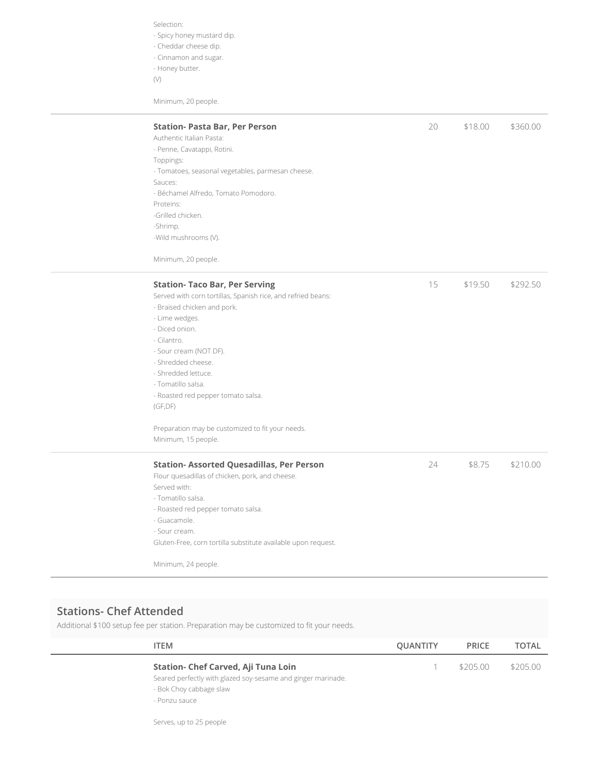Selection:

- Spicy honey mustard dip.
- Cheddar cheese dip.
- Cinnamon and sugar.
- Honey butter.
- (V)

Minimum, 20 people.

| <b>Station- Pasta Bar, Per Person</b>                         | 20 | \$18.00 | \$360.00 |
|---------------------------------------------------------------|----|---------|----------|
| Authentic Italian Pasta:                                      |    |         |          |
| - Penne, Cavatappi, Rotini.                                   |    |         |          |
| Toppings:                                                     |    |         |          |
| - Tomatoes, seasonal vegetables, parmesan cheese.             |    |         |          |
| Sauces:                                                       |    |         |          |
| - Béchamel Alfredo, Tomato Pomodoro.                          |    |         |          |
| Proteins:                                                     |    |         |          |
| -Grilled chicken.                                             |    |         |          |
| -Shrimp.                                                      |    |         |          |
| -Wild mushrooms (V).                                          |    |         |          |
| Minimum, 20 people.                                           |    |         |          |
| <b>Station- Taco Bar, Per Serving</b>                         | 15 | \$19.50 | \$292.50 |
| Served with corn tortillas, Spanish rice, and refried beans:  |    |         |          |
| - Braised chicken and pork.                                   |    |         |          |
| - Lime wedges.                                                |    |         |          |
| - Diced onion.                                                |    |         |          |
| - Cilantro.                                                   |    |         |          |
| - Sour cream (NOT DF).                                        |    |         |          |
| - Shredded cheese.                                            |    |         |          |
| - Shredded lettuce.                                           |    |         |          |
| - Tomatillo salsa.                                            |    |         |          |
| - Roasted red pepper tomato salsa.                            |    |         |          |
| (GF, DF)                                                      |    |         |          |
| Preparation may be customized to fit your needs.              |    |         |          |
| Minimum, 15 people.                                           |    |         |          |
| <b>Station- Assorted Quesadillas, Per Person</b>              | 24 | \$8.75  | \$210.00 |
| Flour quesadillas of chicken, pork, and cheese.               |    |         |          |
| Served with:                                                  |    |         |          |
| - Tomatillo salsa.                                            |    |         |          |
| - Roasted red pepper tomato salsa.                            |    |         |          |
| - Guacamole.                                                  |    |         |          |
| - Sour cream.                                                 |    |         |          |
| Gluten-Free, corn tortilla substitute available upon request. |    |         |          |
| Minimum, 24 people.                                           |    |         |          |

## **Stations- Chef Attended**

 $\overline{\phantom{0}}$ 

Additional \$100 setup fee per station. Preparation may be customized to fit your needs.

| <b>ITEM</b>                                                  | QUANTITY | <b>PRICE</b> | <b>TOTAL</b> |
|--------------------------------------------------------------|----------|--------------|--------------|
| Station- Chef Carved, Aji Tuna Loin                          |          | \$205.00     | \$205.00     |
| Seared perfectly with glazed soy-sesame and ginger marinade. |          |              |              |
| - Bok Choy cabbage slaw                                      |          |              |              |
| - Ponzu sauce                                                |          |              |              |
|                                                              |          |              |              |

Serves, up to 25 people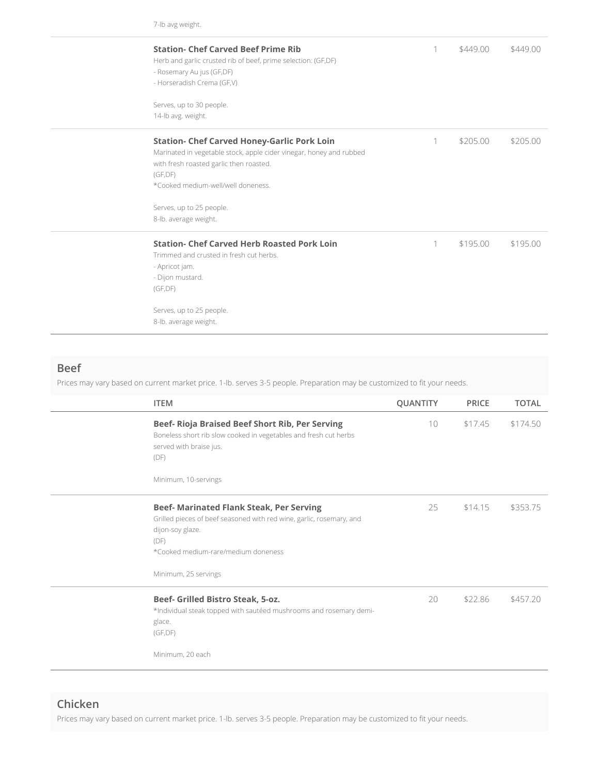7-lb avg weight.

| <b>Station- Chef Carved Beef Prime Rib</b><br>Herb and garlic crusted rib of beef, prime selection: (GF,DF)<br>- Rosemary Au jus (GF,DF)<br>- Horseradish Crema (GF,V)                                                 | 1 | \$449.00 | \$449.00 |
|------------------------------------------------------------------------------------------------------------------------------------------------------------------------------------------------------------------------|---|----------|----------|
| Serves, up to 30 people.<br>14-lb avg. weight.                                                                                                                                                                         |   |          |          |
| <b>Station- Chef Carved Honey-Garlic Pork Loin</b><br>Marinated in vegetable stock, apple cider vinegar, honey and rubbed<br>with fresh roasted garlic then roasted.<br>(GF, DF)<br>*Cooked medium-well/well doneness. | 1 | \$205.00 | \$205.00 |
| Serves, up to 25 people.<br>8-lb. average weight.                                                                                                                                                                      |   |          |          |
| <b>Station- Chef Carved Herb Roasted Pork Loin</b><br>Trimmed and crusted in fresh cut herbs.<br>- Apricot jam.<br>- Dijon mustard.<br>(GF, DF)                                                                        | 1 | \$195.00 | \$195.00 |
| Serves, up to 25 people.<br>8-lb. average weight.                                                                                                                                                                      |   |          |          |

#### **Beef**

Prices may vary based on current market price. 1-lb. serves 3-5 people. Preparation may be customized to fit your needs.

| <b>ITEM</b>                                                                                                                                                                                                        | <b>QUANTITY</b> | <b>PRICE</b> | <b>TOTAL</b> |
|--------------------------------------------------------------------------------------------------------------------------------------------------------------------------------------------------------------------|-----------------|--------------|--------------|
| Beef- Rioja Braised Beef Short Rib, Per Serving<br>Boneless short rib slow cooked in vegetables and fresh cut herbs<br>served with braise jus.<br>(DF)<br>Minimum, 10-servings                                     | 10 <sup>°</sup> | \$17.45      | \$174.50     |
| <b>Beef- Marinated Flank Steak, Per Serving</b><br>Grilled pieces of beef seasoned with red wine, garlic, rosemary, and<br>dijon-soy glaze.<br>(DF)<br>*Cooked medium-rare/medium doneness<br>Minimum, 25 servings | 25              | \$14.15      | \$353.75     |
| Beef- Grilled Bistro Steak, 5-oz.<br>*Individual steak topped with sautéed mushrooms and rosemary demi-<br>glace.<br>(GF, DF)<br>Minimum, 20 each                                                                  | 20              | \$22.86      | \$457.20     |

### **Chicken**

Prices may vary based on current market price. 1-lb. serves 3-5 people. Preparation may be customized to fit your needs.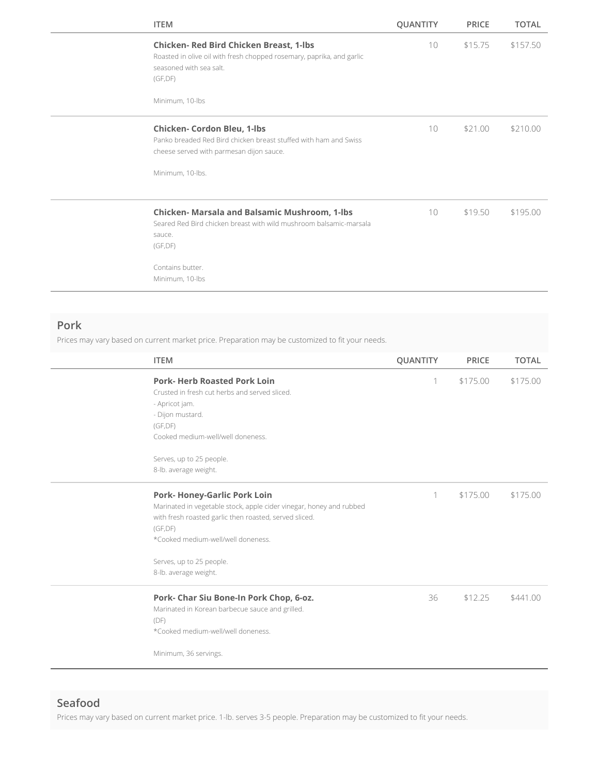| <b>ITEM</b>                                                                                                                                                                             | <b>QUANTITY</b><br><b>PRICE</b> | <b>TOTAL</b> |
|-----------------------------------------------------------------------------------------------------------------------------------------------------------------------------------------|---------------------------------|--------------|
| <b>Chicken- Red Bird Chicken Breast, 1-lbs</b><br>Roasted in olive oil with fresh chopped rosemary, paprika, and garlic<br>seasoned with sea salt.<br>(GF, DF)<br>Minimum, 10-lbs       | 10<br>\$15.75                   | \$157.50     |
| <b>Chicken- Cordon Bleu, 1-lbs</b><br>Panko breaded Red Bird chicken breast stuffed with ham and Swiss<br>cheese served with parmesan dijon sauce.<br>Minimum, 10-lbs.                  | 10<br>\$21.00                   | \$210.00     |
| <b>Chicken- Marsala and Balsamic Mushroom, 1-lbs</b><br>Seared Red Bird chicken breast with wild mushroom balsamic-marsala<br>sauce.<br>(GF, DF)<br>Contains butter.<br>Minimum, 10-lbs | 10<br>\$19.50                   | \$195.00     |

#### **Pork**

Prices may vary based on current market price. Preparation may be customized to fit your needs.

| <b>ITEM</b>                                                                                                                                                                                                                                                                 | <b>QUANTITY</b> | <b>PRICE</b> | <b>TOTAL</b> |
|-----------------------------------------------------------------------------------------------------------------------------------------------------------------------------------------------------------------------------------------------------------------------------|-----------------|--------------|--------------|
| <b>Pork-Herb Roasted Pork Loin</b><br>Crusted in fresh cut herbs and served sliced.<br>- Apricot jam.<br>- Dijon mustard.<br>(GF, DF)<br>Cooked medium-well/well doneness.                                                                                                  | 1               | \$175.00     | \$175.00     |
| Serves, up to 25 people.<br>8-lb. average weight.                                                                                                                                                                                                                           |                 |              |              |
| <b>Pork- Honey-Garlic Pork Loin</b><br>Marinated in vegetable stock, apple cider vinegar, honey and rubbed<br>with fresh roasted garlic then roasted, served sliced.<br>(GF, DF)<br>*Cooked medium-well/well doneness.<br>Serves, up to 25 people.<br>8-lb. average weight. | 1               | \$175.00     | \$175.00     |
| Pork- Char Siu Bone-In Pork Chop, 6-oz.<br>Marinated in Korean barbecue sauce and grilled.<br>(DF)<br>*Cooked medium-well/well doneness.<br>Minimum, 36 servings.                                                                                                           | 36              | \$12.25      | \$441.00     |

#### **Seafood**

Prices may vary based on current market price. 1-lb. serves 3-5 people. Preparation may be customized to fit your needs.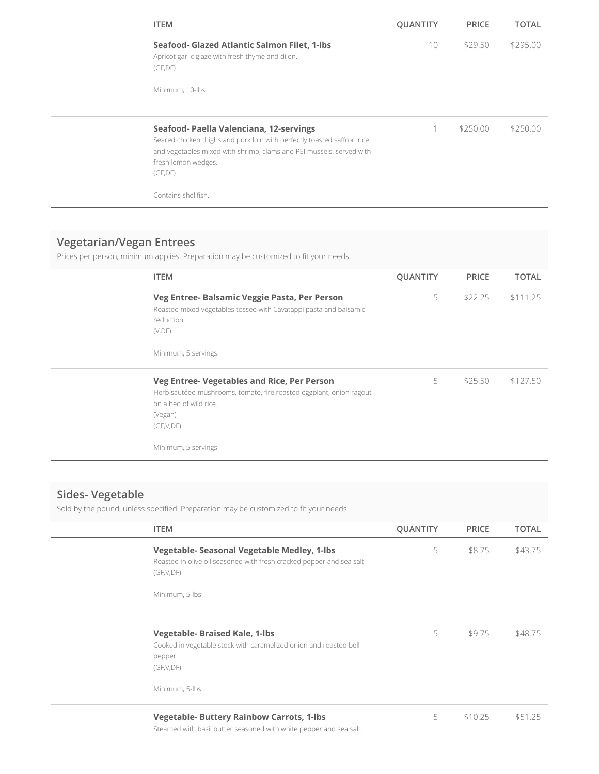| <b>ITEM</b>                                                                                                                                                                                                                   | <b>QUANTITY</b> | <b>PRICE</b> | TOTAL    |
|-------------------------------------------------------------------------------------------------------------------------------------------------------------------------------------------------------------------------------|-----------------|--------------|----------|
| Seafood- Glazed Atlantic Salmon Filet, 1-lbs<br>Apricot garlic glaze with fresh thyme and dijon.<br>(GF, DF)                                                                                                                  | 10              | \$29.50      | \$295.00 |
| Minimum, 10-lbs                                                                                                                                                                                                               |                 |              |          |
| Seafood- Paella Valenciana, 12-servings<br>Seared chicken thighs and pork loin with perfectly toasted saffron rice<br>and vegetables mixed with shrimp, clams and PEI mussels, served with<br>fresh lemon wedges.<br>(GF, DF) |                 | \$250.00     | \$250.00 |
| Contains shellfish.                                                                                                                                                                                                           |                 |              |          |

## **Vegetarian/Vegan Entrees**

Prices per person, minimum applies. Preparation may be customized to fit your needs.

| <b>ITEM</b>                                                                                                                                                                                  | <b>QUANTITY</b> | <b>PRICE</b> | TOTAL    |
|----------------------------------------------------------------------------------------------------------------------------------------------------------------------------------------------|-----------------|--------------|----------|
| Veg Entree- Balsamic Veggie Pasta, Per Person<br>Roasted mixed vegetables tossed with Cavatappi pasta and balsamic<br>reduction.<br>(V, DF)<br>Minimum, 5 servings.                          | 5               | \$22.25      | \$111.25 |
| Veg Entree- Vegetables and Rice, Per Person<br>Herb sautéed mushrooms, tomato, fire roasted eggplant, onion ragout<br>on a bed of wild rice.<br>(Vegan)<br>(GF,V,DF)<br>Minimum, 5 servings. | 5               | \$25.50      | \$127.50 |

## **Sides- Vegetable**

Sold by the pound, unless specified. Preparation may be customized to fit your needs.

| <b>ITEM</b>                                                                                                                        | <b>QUANTITY</b> | <b>PRICE</b> | <b>TOTAL</b> |
|------------------------------------------------------------------------------------------------------------------------------------|-----------------|--------------|--------------|
| Vegetable- Seasonal Vegetable Medley, 1-lbs<br>Roasted in olive oil seasoned with fresh cracked pepper and sea salt.<br>(GF,V,DF)  | 5               | \$8.75       | \$43.75      |
| Minimum, 5-lbs                                                                                                                     |                 |              |              |
| <b>Vegetable- Braised Kale, 1-lbs</b><br>Cooked in vegetable stock with caramelized onion and roasted bell<br>pepper.<br>(GF,V,DF) | 5               | \$9.75       | \$48.75      |
| Minimum, 5-lbs                                                                                                                     |                 |              |              |
| <b>Vegetable- Buttery Rainbow Carrots, 1-lbs</b>                                                                                   | 5               | \$10.25      | \$51.25      |

Steamed with basil butter seasoned with white pepper and sea salt.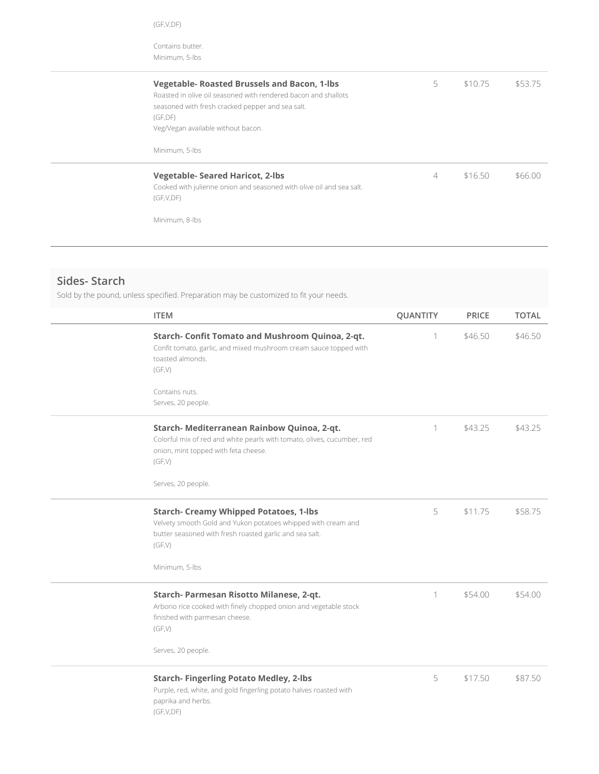Contains butter. Minimum, 5-lbs

| <b>Vegetable- Roasted Brussels and Bacon, 1-lbs</b><br>Roasted in olive oil seasoned with rendered bacon and shallots<br>seasoned with fresh cracked pepper and sea salt.<br>(GF, DF)<br>Veg/Vegan available without bacon.<br>Minimum, 5-lbs | 5 | \$10.75 | \$53.75 |
|-----------------------------------------------------------------------------------------------------------------------------------------------------------------------------------------------------------------------------------------------|---|---------|---------|
| <b>Vegetable-Seared Haricot, 2-lbs</b><br>Cooked with julienne onion and seasoned with olive oil and sea salt.<br>(GF,V,DF)<br>Minimum, 8-lbs                                                                                                 | 4 | \$1650  | \$66.00 |

## **Sides- Starch**

Sold by the pound, unless specified. Preparation may be customized to fit your needs.

| <b>ITEM</b>                                                                                                                                                                         | QUANTITY | <b>PRICE</b> | <b>TOTAL</b> |
|-------------------------------------------------------------------------------------------------------------------------------------------------------------------------------------|----------|--------------|--------------|
| Starch- Confit Tomato and Mushroom Quinoa, 2-qt.<br>Confit tomato, garlic, and mixed mushroom cream sauce topped with<br>toasted almonds.<br>(GF,V)<br>Contains nuts.               | 1        | \$46.50      | \$46.50      |
| Serves, 20 people.                                                                                                                                                                  |          |              |              |
| Starch- Mediterranean Rainbow Quinoa, 2-qt.<br>Colorful mix of red and white pearls with tomato, olives, cucumber, red<br>onion, mint topped with feta cheese.<br>(GF,V)            | 1        | \$43.25      | \$43.25      |
| Serves, 20 people.                                                                                                                                                                  |          |              |              |
| <b>Starch- Creamy Whipped Potatoes, 1-lbs</b><br>Velvety smooth Gold and Yukon potatoes whipped with cream and<br>butter seasoned with fresh roasted garlic and sea salt.<br>(GF,V) | 5        | \$11.75      | \$58.75      |
| Minimum, 5-lbs                                                                                                                                                                      |          |              |              |
| Starch- Parmesan Risotto Milanese, 2-qt.<br>Arborio rice cooked with finely chopped onion and vegetable stock<br>finished with parmesan cheese.<br>(GF,V)                           | 1        | \$54.00      | \$54.00      |
| Serves, 20 people.                                                                                                                                                                  |          |              |              |
| <b>Starch- Fingerling Potato Medley, 2-lbs</b><br>Purple, red, white, and gold fingerling potato halves roasted with<br>paprika and herbs.<br>(GF,V,DF)                             | 5        | \$17.50      | \$87.50      |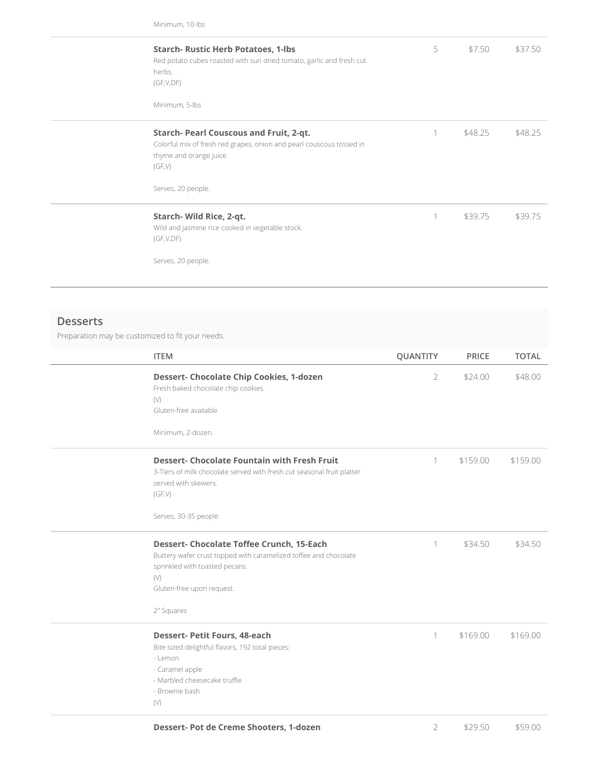Minimum, 10-lbs

| <b>Starch- Rustic Herb Potatoes, 1-lbs</b><br>Red potato cubes roasted with sun dried tomato, garlic and fresh cut<br>herbs.<br>(GF,V,DF)<br>Minimum, 5-lbs                | 5 | \$7.50  | \$37.50 |
|----------------------------------------------------------------------------------------------------------------------------------------------------------------------------|---|---------|---------|
| Starch- Pearl Couscous and Fruit, 2-qt.<br>Colorful mix of fresh red grapes, onion and pearl couscous tossed in<br>thyme and orange juice.<br>(GF,V)<br>Serves, 20 people. |   | \$48.25 | \$48.25 |
| Starch- Wild Rice, 2-qt.<br>Wild and jasmine rice cooked in vegetable stock.<br>(GF,V,DF)<br>Serves, 20 people.                                                            | 1 | \$39.75 | \$39.75 |

#### **Desserts**

Preparation may be customized to fit your needs.

| <b>ITEM</b>                                                                                                                                                                                                   | <b>QUANTITY</b> | <b>PRICE</b> | <b>TOTAL</b> |
|---------------------------------------------------------------------------------------------------------------------------------------------------------------------------------------------------------------|-----------------|--------------|--------------|
| <b>Dessert- Chocolate Chip Cookies, 1-dozen</b><br>Fresh baked chocolate chip cookies.<br>(V)<br>Gluten-free available<br>Minimum, 2-dozen.                                                                   | $\overline{2}$  | \$24.00      | \$48.00      |
| <b>Dessert- Chocolate Fountain with Fresh Fruit</b><br>3-Tiers of milk chocolate served with fresh cut seasonal fruit platter<br>served with skewers.<br>(GF,V)<br>Serves, 30-35 people.                      | 1               | \$159.00     | \$159.00     |
| <b>Dessert- Chocolate Toffee Crunch, 15-Each</b><br>Buttery wafer crust topped with caramelized toffee and chocolate<br>sprinkled with toasted pecans.<br>$(\vee)$<br>Gluten-free upon request.<br>2" Squares | 1               | \$34.50      | \$34.50      |
| <b>Dessert- Petit Fours, 48-each</b><br>Bite sized delightful flavors, 192 total pieces:<br>- Lemon<br>- Caramel apple<br>- Marbled cheesecake truffle<br>- Brownie bash<br>(V)                               | 1               | \$169.00     | \$169.00     |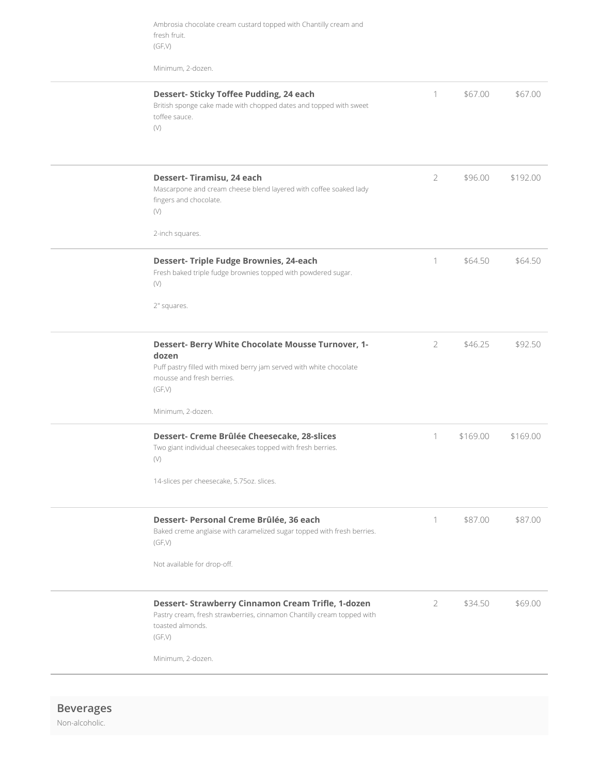Ambrosia chocolate cream custard topped with Chantilly cream and fresh fruit. (GF,V)

Minimum, 2-dozen.

| <b>Dessert- Sticky Toffee Pudding, 24 each</b><br>1<br>\$67.00<br>\$67.00<br>British sponge cake made with chopped dates and topped with sweet<br>toffee sauce.<br>$(\vee)$<br>Dessert-Tiramisu, 24 each<br>$\overline{2}$<br>\$192.00<br>\$96.00<br>Mascarpone and cream cheese blend layered with coffee soaked lady<br>fingers and chocolate.<br>$(\vee)$<br>2-inch squares.<br><b>Dessert- Triple Fudge Brownies, 24-each</b><br>1<br>\$64.50<br>\$64.50<br>Fresh baked triple fudge brownies topped with powdered sugar.<br>(V)<br>2" squares.<br>Dessert- Berry White Chocolate Mousse Turnover, 1-<br>\$46.25<br>\$92.50<br>$\overline{2}$<br>dozen<br>Puff pastry filled with mixed berry jam served with white chocolate<br>mousse and fresh berries.<br>(GF,V)<br>Minimum, 2-dozen.<br>Dessert- Creme Brûlée Cheesecake, 28-slices<br>1<br>\$169.00<br>\$169.00<br>Two giant individual cheesecakes topped with fresh berries.<br>$(\vee)$<br>14-slices per cheesecake, 5.75oz. slices.<br>Dessert- Personal Creme Brûlée, 36 each<br>\$87.00<br>\$87.00<br>Baked creme anglaise with caramelized sugar topped with fresh berries.<br>(GF,V)<br>Not available for drop-off.<br>Dessert- Strawberry Cinnamon Cream Trifle, 1-dozen<br>2<br>\$34.50<br>\$69.00<br>Pastry cream, fresh strawberries, cinnamon Chantilly cream topped with<br>toasted almonds.<br>(GF,V)<br>Minimum, 2-dozen. |  |  |  |
|-----------------------------------------------------------------------------------------------------------------------------------------------------------------------------------------------------------------------------------------------------------------------------------------------------------------------------------------------------------------------------------------------------------------------------------------------------------------------------------------------------------------------------------------------------------------------------------------------------------------------------------------------------------------------------------------------------------------------------------------------------------------------------------------------------------------------------------------------------------------------------------------------------------------------------------------------------------------------------------------------------------------------------------------------------------------------------------------------------------------------------------------------------------------------------------------------------------------------------------------------------------------------------------------------------------------------------------------------------------------------------------------------------|--|--|--|
|                                                                                                                                                                                                                                                                                                                                                                                                                                                                                                                                                                                                                                                                                                                                                                                                                                                                                                                                                                                                                                                                                                                                                                                                                                                                                                                                                                                                     |  |  |  |
|                                                                                                                                                                                                                                                                                                                                                                                                                                                                                                                                                                                                                                                                                                                                                                                                                                                                                                                                                                                                                                                                                                                                                                                                                                                                                                                                                                                                     |  |  |  |
|                                                                                                                                                                                                                                                                                                                                                                                                                                                                                                                                                                                                                                                                                                                                                                                                                                                                                                                                                                                                                                                                                                                                                                                                                                                                                                                                                                                                     |  |  |  |
|                                                                                                                                                                                                                                                                                                                                                                                                                                                                                                                                                                                                                                                                                                                                                                                                                                                                                                                                                                                                                                                                                                                                                                                                                                                                                                                                                                                                     |  |  |  |
|                                                                                                                                                                                                                                                                                                                                                                                                                                                                                                                                                                                                                                                                                                                                                                                                                                                                                                                                                                                                                                                                                                                                                                                                                                                                                                                                                                                                     |  |  |  |
|                                                                                                                                                                                                                                                                                                                                                                                                                                                                                                                                                                                                                                                                                                                                                                                                                                                                                                                                                                                                                                                                                                                                                                                                                                                                                                                                                                                                     |  |  |  |
|                                                                                                                                                                                                                                                                                                                                                                                                                                                                                                                                                                                                                                                                                                                                                                                                                                                                                                                                                                                                                                                                                                                                                                                                                                                                                                                                                                                                     |  |  |  |
|                                                                                                                                                                                                                                                                                                                                                                                                                                                                                                                                                                                                                                                                                                                                                                                                                                                                                                                                                                                                                                                                                                                                                                                                                                                                                                                                                                                                     |  |  |  |

**Beverages** Non-alcoholic.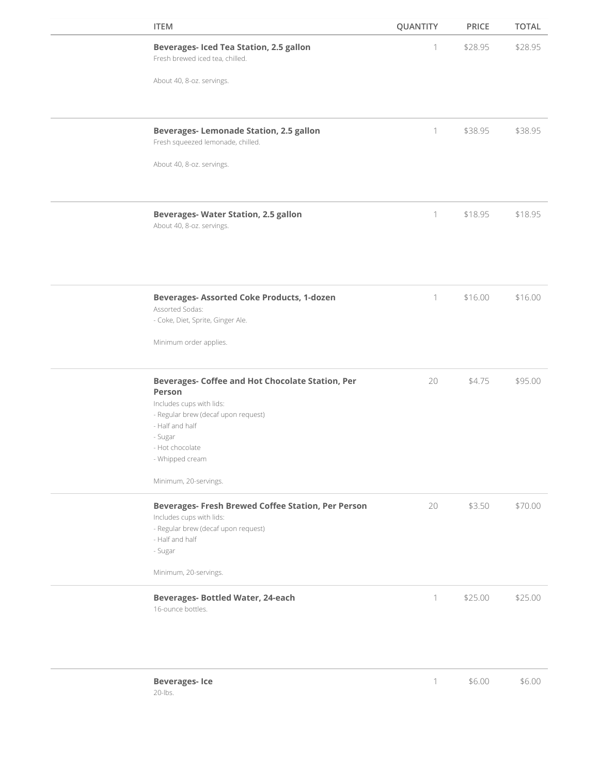| <b>ITEM</b>                                                                                                           | QUANTITY         | <b>PRICE</b> | <b>TOTAL</b> |
|-----------------------------------------------------------------------------------------------------------------------|------------------|--------------|--------------|
| <b>Beverages- Iced Tea Station, 2.5 gallon</b><br>Fresh brewed iced tea, chilled.                                     | 1                | \$28.95      | \$28.95      |
| About 40, 8-oz. servings.                                                                                             |                  |              |              |
| <b>Beverages-Lemonade Station, 2.5 gallon</b>                                                                         | 1                | \$38.95      | \$38.95      |
| Fresh squeezed lemonade, chilled.<br>About 40, 8-oz. servings.                                                        |                  |              |              |
| <b>Beverages- Water Station, 2.5 gallon</b><br>About 40, 8-oz. servings.                                              | 1                | \$18.95      | \$18.95      |
|                                                                                                                       |                  |              |              |
| <b>Beverages-Assorted Coke Products, 1-dozen</b><br>Assorted Sodas:<br>- Coke, Diet, Sprite, Ginger Ale.              | 1                | \$16.00      | \$16.00      |
| Minimum order applies.                                                                                                |                  |              |              |
| Beverages- Coffee and Hot Chocolate Station, Per<br>Person                                                            | 20               | \$4.75       | \$95.00      |
| Includes cups with lids:<br>- Regular brew (decaf upon request)<br>- Half and half<br>- Sugar<br>- Hot chocolate      |                  |              |              |
| - Whipped cream<br>Minimum, 20-servings.                                                                              |                  |              |              |
| Beverages- Fresh Brewed Coffee Station, Per Person<br>Includes cups with lids:<br>- Regular brew (decaf upon request) | 20               | \$3.50       | \$70.00      |
| - Half and half<br>- Sugar                                                                                            |                  |              |              |
| Minimum, 20-servings.                                                                                                 |                  |              |              |
| <b>Beverages- Bottled Water, 24-each</b><br>16-ounce bottles.                                                         | 1                | \$25.00      | \$25.00      |
| <b>Beverages-Ice</b><br>$20$ -lbs.                                                                                    | $\left  \right $ | \$6.00       | \$6.00       |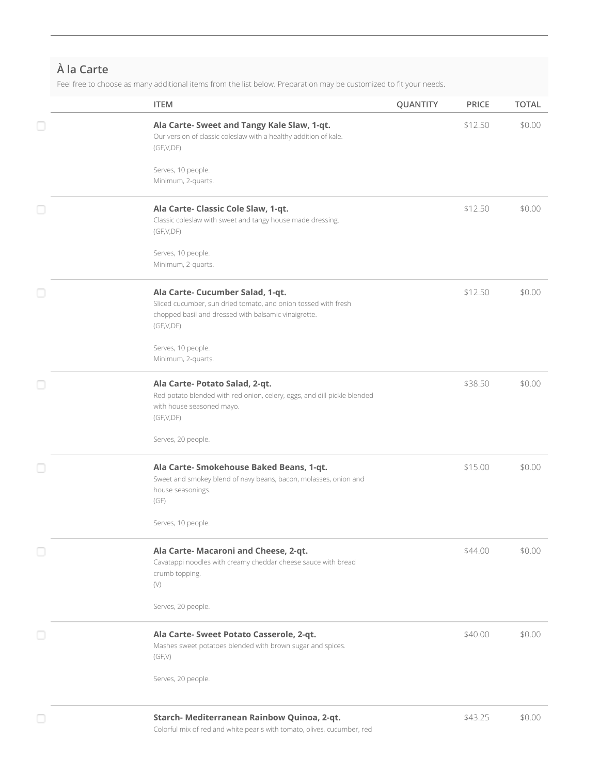# **À la Carte**

Feel free to choose as many additional items from the list below. Preparation may be customized to fit your needs.

| <b>ITEM</b>                                                                                                                                                             | QUANTITY | <b>PRICE</b> | <b>TOTAL</b> |
|-------------------------------------------------------------------------------------------------------------------------------------------------------------------------|----------|--------------|--------------|
| Ala Carte- Sweet and Tangy Kale Slaw, 1-qt.<br>Our version of classic coleslaw with a healthy addition of kale.<br>(GF,V,DF)                                            |          | \$12.50      | \$0.00       |
| Serves, 10 people.<br>Minimum, 2-quarts.                                                                                                                                |          |              |              |
| Ala Carte- Classic Cole Slaw, 1-qt.<br>Classic coleslaw with sweet and tangy house made dressing.<br>(GF,V,DF)                                                          |          | \$12.50      | \$0.00       |
| Serves, 10 people.<br>Minimum, 2-quarts.                                                                                                                                |          |              |              |
| Ala Carte- Cucumber Salad, 1-qt.<br>Sliced cucumber, sun dried tomato, and onion tossed with fresh<br>chopped basil and dressed with balsamic vinaigrette.<br>(GF,V,DF) |          | \$12.50      | \$0.00       |
| Serves, 10 people.<br>Minimum, 2-quarts.                                                                                                                                |          |              |              |
| Ala Carte- Potato Salad, 2-qt.<br>Red potato blended with red onion, celery, eggs, and dill pickle blended<br>with house seasoned mayo.<br>(GF,V,DF)                    |          | \$38.50      | \$0.00       |
| Serves, 20 people.                                                                                                                                                      |          |              |              |
| Ala Carte- Smokehouse Baked Beans, 1-qt.<br>Sweet and smokey blend of navy beans, bacon, molasses, onion and<br>house seasonings.<br>(GF)                               |          | \$15.00      | \$0.00       |
| Serves, 10 people.                                                                                                                                                      |          |              |              |
| Ala Carte- Macaroni and Cheese, 2-qt.<br>Cavatappi noodles with creamy cheddar cheese sauce with bread<br>crumb topping.<br>$(\vee)$                                    |          | \$44.00      | \$0.00       |
| Serves, 20 people.                                                                                                                                                      |          |              |              |
| Ala Carte- Sweet Potato Casserole, 2-qt.<br>Mashes sweet potatoes blended with brown sugar and spices.<br>(GF,V)                                                        |          | \$40.00      | \$0.00       |
| Serves, 20 people.                                                                                                                                                      |          |              |              |
| Starch- Mediterranean Rainbow Quinoa, 2-qt.                                                                                                                             |          | \$43.25      | \$0.00       |

Colorful mix of red and white pearls with tomato, olives, cucumber, red